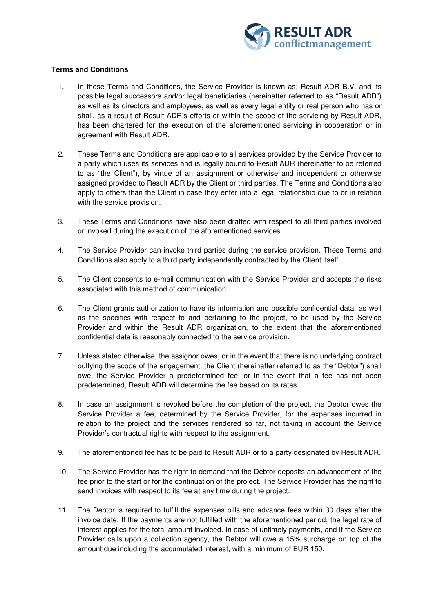

## **Terms and Conditions**

- 1. In these Terms and Conditions, the Service Provider is known as: Result ADR B.V. and its possible legal successors and/or legal beneficiaries (hereinafter referred to as "Result ADR") as well as its directors and employees, as well as every legal entity or real person who has or shall, as a result of Result ADR's efforts or within the scope of the servicing by Result ADR, has been chartered for the execution of the aforementioned servicing in cooperation or in agreement with Result ADR.
- 2. These Terms and Conditions are applicable to all services provided by the Service Provider to a party which uses its services and is legally bound to Result ADR (hereinafter to be referred to as "the Client"), by virtue of an assignment or otherwise and independent or otherwise assigned provided to Result ADR by the Client or third parties. The Terms and Conditions also apply to others than the Client in case they enter into a legal relationship due to or in relation with the service provision.
- 3. These Terms and Conditions have also been drafted with respect to all third parties involved or invoked during the execution of the aforementioned services.
- 4. The Service Provider can invoke third parties during the service provision. These Terms and Conditions also apply to a third party independently contracted by the Client itself.
- 5. The Client consents to e-mail communication with the Service Provider and accepts the risks associated with this method of communication.
- 6. The Client grants authorization to have its information and possible confidential data, as well as the specifics with respect to and pertaining to the project, to be used by the Service Provider and within the Result ADR organization, to the extent that the aforementioned confidential data is reasonably connected to the service provision.
- 7. Unless stated otherwise, the assignor owes, or in the event that there is no underlying contract outlying the scope of the engagement, the Client (hereinafter referred to as the "Debtor") shall owe, the Service Provider a predetermined fee, or in the event that a fee has not been predetermined, Result ADR will determine the fee based on its rates.
- 8. In case an assignment is revoked before the completion of the project, the Debtor owes the Service Provider a fee, determined by the Service Provider, for the expenses incurred in relation to the project and the services rendered so far, not taking in account the Service Provider's contractual rights with respect to the assignment.
- 9. The aforementioned fee has to be paid to Result ADR or to a party designated by Result ADR.
- 10. The Service Provider has the right to demand that the Debtor deposits an advancement of the fee prior to the start or for the continuation of the project. The Service Provider has the right to send invoices with respect to its fee at any time during the project.
- 11. The Debtor is required to fulfill the expenses bills and advance fees within 30 days after the invoice date. If the payments are not fulfilled with the aforementioned period, the legal rate of interest applies for the total amount invoiced. In case of untimely payments, and if the Service Provider calls upon a collection agency, the Debtor will owe a 15% surcharge on top of the amount due including the accumulated interest, with a minimum of EUR 150.